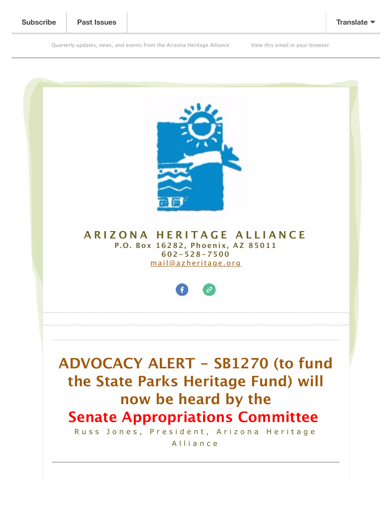Quarterly updates, news, and events from the Arizona Heritage Alliance [View this email in your browser](https://mailchi.mp/azheritage.org/action-needed-sb1270-on-senate-appropriations-committee-212022-agenda?e=a8e6bd549b)



**ARIZONA HERITAGE ALLIANCE P.O. Box 16282, Phoenix, AZ 85011 602-528-7500** [mail@azheritage.org](mailto:mail@azheritage.org)



**ADVOCACY ALERT - SB1270 (to fund the State Parks Heritage Fund) will now be heard by the Senate Appropriations Committee** 

Russ Jones, President, Arizona Heritage Alliance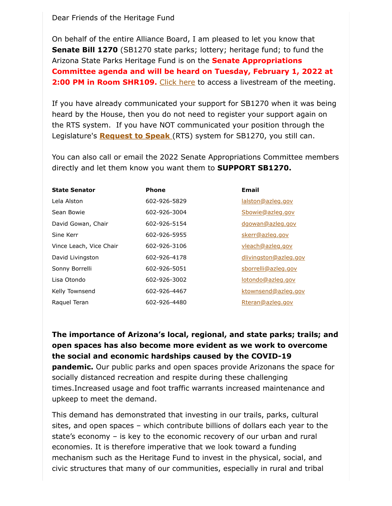## Dear Friends of the Heritage Fund

On behalf of the entire Alliance Board, I am pleased to let you know that **Senate Bill 1270** (SB1270 state parks; lottery; heritage fund; to fund the Arizona State Parks Heritage Fund is on the **Senate Appropriations Committee agenda and will be heard on Tuesday, February 1, 2022 at 2:00 PM in Room SHR109.** [Click here](https://www.azleg.gov/videoplayer/?clientID=6361162879&eventID=2022021001) to access a livestream of the meeting.

If you have already communicated your support for SB1270 when it was being heard by the House, then you do not need to register your support again on the RTS system. If you have NOT communicated your position through the Legislature's **[Request to Speak](https://apps.azleg.gov/Account/SignOn)** (RTS) system for SB1270, you still can.

You can also call or email the 2022 Senate Appropriations Committee members directly and let them know you want them to **SUPPORT SB1270.**

| <b>State Senator</b>    | <b>Phone</b> | <b>Email</b>          |
|-------------------------|--------------|-----------------------|
| Lela Alston             | 602-926-5829 | lalston@azleg.gov     |
| Sean Bowie              | 602-926-3004 | Sbowie@azleg.gov      |
| David Gowan, Chair      | 602-926-5154 | dgowan@azleg.gov      |
| Sine Kerr               | 602-926-5955 | skerr@azleg.gov       |
| Vince Leach, Vice Chair | 602-926-3106 | vleach@azleg.gov      |
| David Livingston        | 602-926-4178 | dlivingston@azleg.gov |
| Sonny Borrelli          | 602-926-5051 | sborrelli@azleg.gov   |
| Lisa Otondo             | 602-926-3002 | lotondo@azleg.gov     |
| Kelly Townsend          | 602-926-4467 | ktownsend@azleg.gov   |
| Raguel Teran            | 602-926-4480 | Rteran@azleg.gov      |

**The importance of Arizona's local, regional, and state parks; trails; and open spaces has also become more evident as we work to overcome the social and economic hardships caused by the COVID-19 pandemic.** Our public parks and open spaces provide Arizonans the space for socially distanced recreation and respite during these challenging times.Increased usage and foot traffic warrants increased maintenance and upkeep to meet the demand.

This demand has demonstrated that investing in our trails, parks, cultural sites, and open spaces – which contribute billions of dollars each year to the state's economy – is key to the economic recovery of our urban and rural economies. It is therefore imperative that we look toward a funding mechanism such as the Heritage Fund to invest in the physical, social, and civic structures that many of our communities, especially in rural and tribal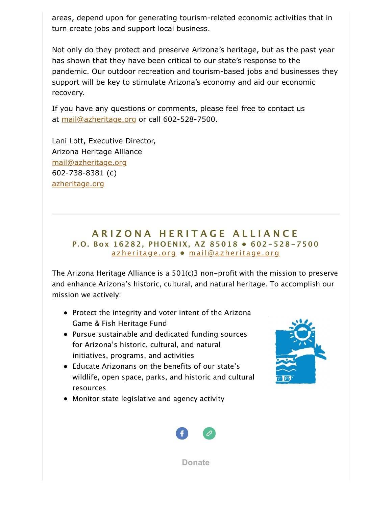areas, depend upon for generating tourism-related economic activities that in turn create jobs and support local business.

Not only do they protect and preserve Arizona's heritage, but as the past year has shown that they have been critical to our state's response to the pandemic. Our outdoor recreation and tourism-based jobs and businesses they support will be key to stimulate Arizona's economy and aid our economic recovery.

If you have any questions or comments, please feel free to contact us at [mail@azheritage.org](mailto:mail@azheritage.org) or call 602-528-7500.

Lani Lott, Executive Director, Arizona Heritage Alliance [mail@azheritage.org](mailto:mail@azheritage.org) 602-738-8381 (c) [azheritage.org](http://azheritage.org/)

## **ARIZONA HERITAGE ALLIANCE P.O. Box 16282, PHOENIX, AZ 85018 • 602-528-7500** [azheritage.org](http://azheritage.org/) **•** [mail@azheritage.org](mailto:mail@azheritage.org)

The Arizona Heritage Alliance is a 501(c)3 non-profit with the mission to preserve and enhance Arizona's historic, cultural, and natural heritage. To accomplish our mission we actively:

- Protect the integrity and voter intent of the Arizona Game & Fish Heritage Fund
- Pursue sustainable and dedicated funding sources for Arizona's historic, cultural, and natural initiatives, programs, and activities
- Educate Arizonans on the benefits of our state's wildlife, open space, parks, and historic and cultural resources
- Monitor state legislative and agency activity





**[Donate](http://azheritage.org/)**